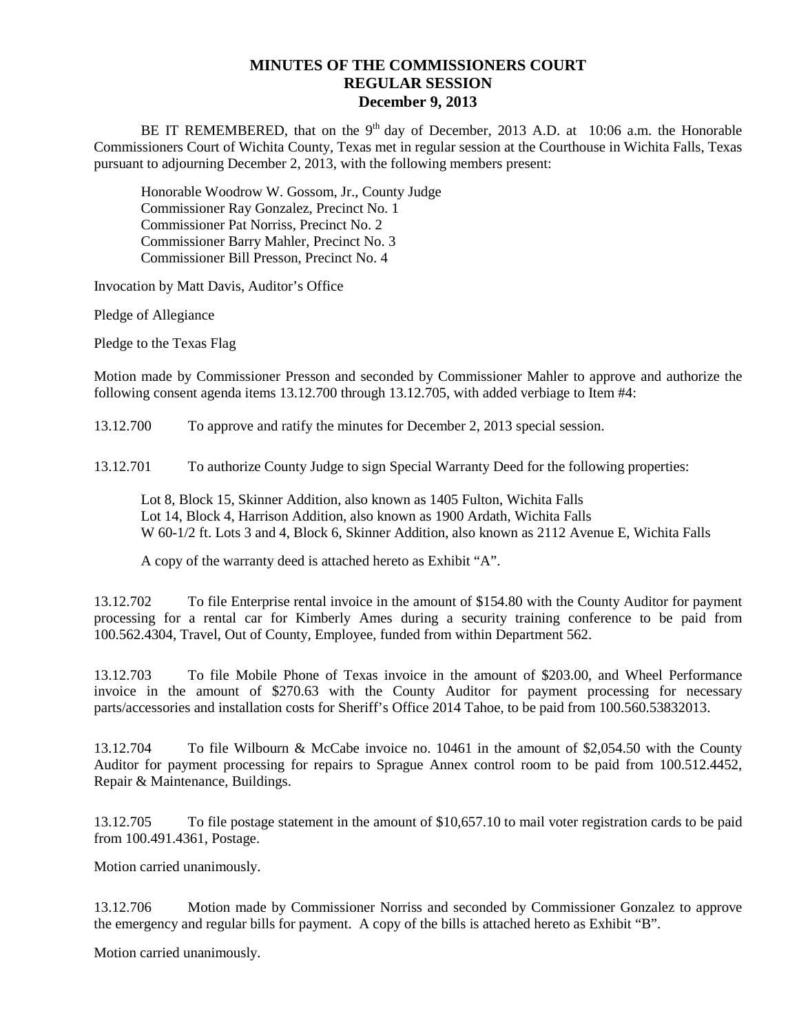## **MINUTES OF THE COMMISSIONERS COURT REGULAR SESSION December 9, 2013**

BE IT REMEMBERED, that on the  $9<sup>th</sup>$  day of December, 2013 A.D. at 10:06 a.m. the Honorable Commissioners Court of Wichita County, Texas met in regular session at the Courthouse in Wichita Falls, Texas pursuant to adjourning December 2, 2013, with the following members present:

Honorable Woodrow W. Gossom, Jr., County Judge Commissioner Ray Gonzalez, Precinct No. 1 Commissioner Pat Norriss, Precinct No. 2 Commissioner Barry Mahler, Precinct No. 3 Commissioner Bill Presson, Precinct No. 4

Invocation by Matt Davis, Auditor's Office

Pledge of Allegiance

Pledge to the Texas Flag

Motion made by Commissioner Presson and seconded by Commissioner Mahler to approve and authorize the following consent agenda items 13.12.700 through 13.12.705, with added verbiage to Item #4:

13.12.700 To approve and ratify the minutes for December 2, 2013 special session.

13.12.701 To authorize County Judge to sign Special Warranty Deed for the following properties:

Lot 8, Block 15, Skinner Addition, also known as 1405 Fulton, Wichita Falls Lot 14, Block 4, Harrison Addition, also known as 1900 Ardath, Wichita Falls W 60-1/2 ft. Lots 3 and 4, Block 6, Skinner Addition, also known as 2112 Avenue E, Wichita Falls

A copy of the warranty deed is attached hereto as Exhibit "A".

13.12.702 To file Enterprise rental invoice in the amount of \$154.80 with the County Auditor for payment processing for a rental car for Kimberly Ames during a security training conference to be paid from 100.562.4304, Travel, Out of County, Employee, funded from within Department 562.

13.12.703 To file Mobile Phone of Texas invoice in the amount of \$203.00, and Wheel Performance invoice in the amount of \$270.63 with the County Auditor for payment processing for necessary parts/accessories and installation costs for Sheriff's Office 2014 Tahoe, to be paid from 100.560.53832013.

13.12.704 To file Wilbourn & McCabe invoice no. 10461 in the amount of \$2,054.50 with the County Auditor for payment processing for repairs to Sprague Annex control room to be paid from 100.512.4452, Repair & Maintenance, Buildings.

13.12.705 To file postage statement in the amount of \$10,657.10 to mail voter registration cards to be paid from 100.491.4361, Postage.

Motion carried unanimously.

13.12.706 Motion made by Commissioner Norriss and seconded by Commissioner Gonzalez to approve the emergency and regular bills for payment. A copy of the bills is attached hereto as Exhibit "B".

Motion carried unanimously.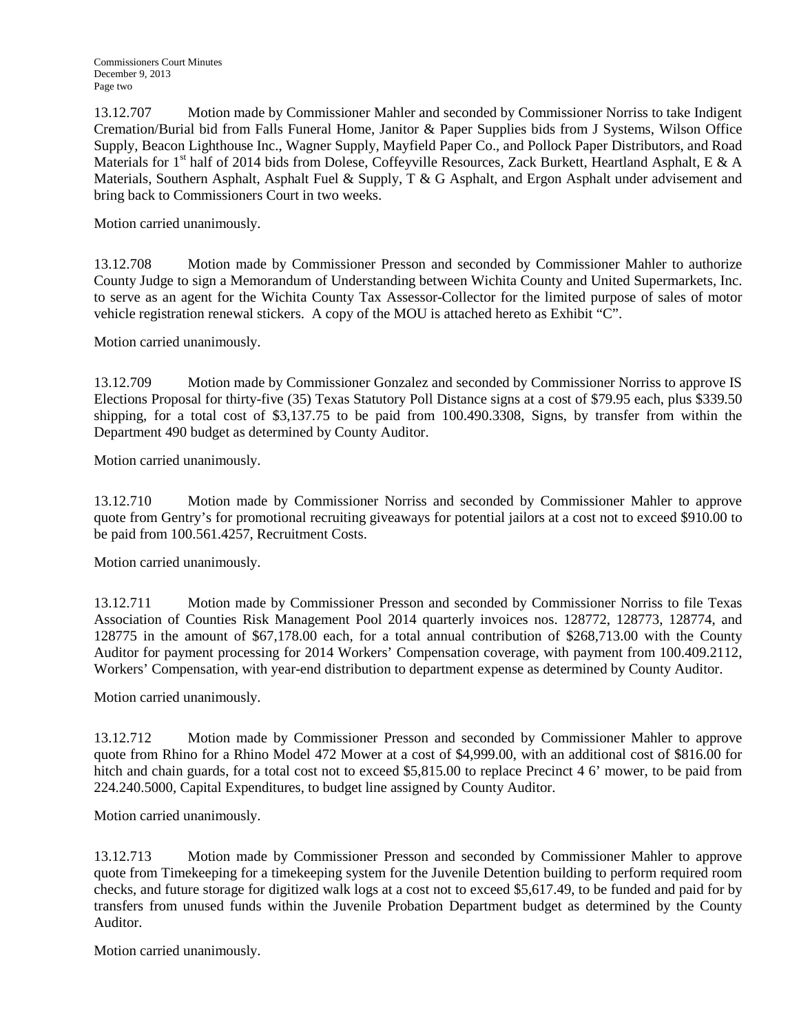13.12.707 Motion made by Commissioner Mahler and seconded by Commissioner Norriss to take Indigent Cremation/Burial bid from Falls Funeral Home, Janitor & Paper Supplies bids from J Systems, Wilson Office Supply, Beacon Lighthouse Inc., Wagner Supply, Mayfield Paper Co., and Pollock Paper Distributors, and Road Materials for  $1<sup>st</sup>$  half of 2014 bids from Dolese, Coffeyville Resources, Zack Burkett, Heartland Asphalt, E & A Materials, Southern Asphalt, Asphalt Fuel & Supply, T & G Asphalt, and Ergon Asphalt under advisement and bring back to Commissioners Court in two weeks.

Motion carried unanimously.

13.12.708 Motion made by Commissioner Presson and seconded by Commissioner Mahler to authorize County Judge to sign a Memorandum of Understanding between Wichita County and United Supermarkets, Inc. to serve as an agent for the Wichita County Tax Assessor-Collector for the limited purpose of sales of motor vehicle registration renewal stickers. A copy of the MOU is attached hereto as Exhibit "C".

Motion carried unanimously.

13.12.709 Motion made by Commissioner Gonzalez and seconded by Commissioner Norriss to approve IS Elections Proposal for thirty-five (35) Texas Statutory Poll Distance signs at a cost of \$79.95 each, plus \$339.50 shipping, for a total cost of \$3,137.75 to be paid from 100.490.3308, Signs, by transfer from within the Department 490 budget as determined by County Auditor.

Motion carried unanimously.

13.12.710 Motion made by Commissioner Norriss and seconded by Commissioner Mahler to approve quote from Gentry's for promotional recruiting giveaways for potential jailors at a cost not to exceed \$910.00 to be paid from 100.561.4257, Recruitment Costs.

Motion carried unanimously.

13.12.711 Motion made by Commissioner Presson and seconded by Commissioner Norriss to file Texas Association of Counties Risk Management Pool 2014 quarterly invoices nos. 128772, 128773, 128774, and 128775 in the amount of \$67,178.00 each, for a total annual contribution of \$268,713.00 with the County Auditor for payment processing for 2014 Workers' Compensation coverage, with payment from 100.409.2112, Workers' Compensation, with year-end distribution to department expense as determined by County Auditor.

Motion carried unanimously.

13.12.712 Motion made by Commissioner Presson and seconded by Commissioner Mahler to approve quote from Rhino for a Rhino Model 472 Mower at a cost of \$4,999.00, with an additional cost of \$816.00 for hitch and chain guards, for a total cost not to exceed \$5,815.00 to replace Precinct 4 6' mower, to be paid from 224.240.5000, Capital Expenditures, to budget line assigned by County Auditor.

Motion carried unanimously.

13.12.713 Motion made by Commissioner Presson and seconded by Commissioner Mahler to approve quote from Timekeeping for a timekeeping system for the Juvenile Detention building to perform required room checks, and future storage for digitized walk logs at a cost not to exceed \$5,617.49, to be funded and paid for by transfers from unused funds within the Juvenile Probation Department budget as determined by the County Auditor.

Motion carried unanimously.